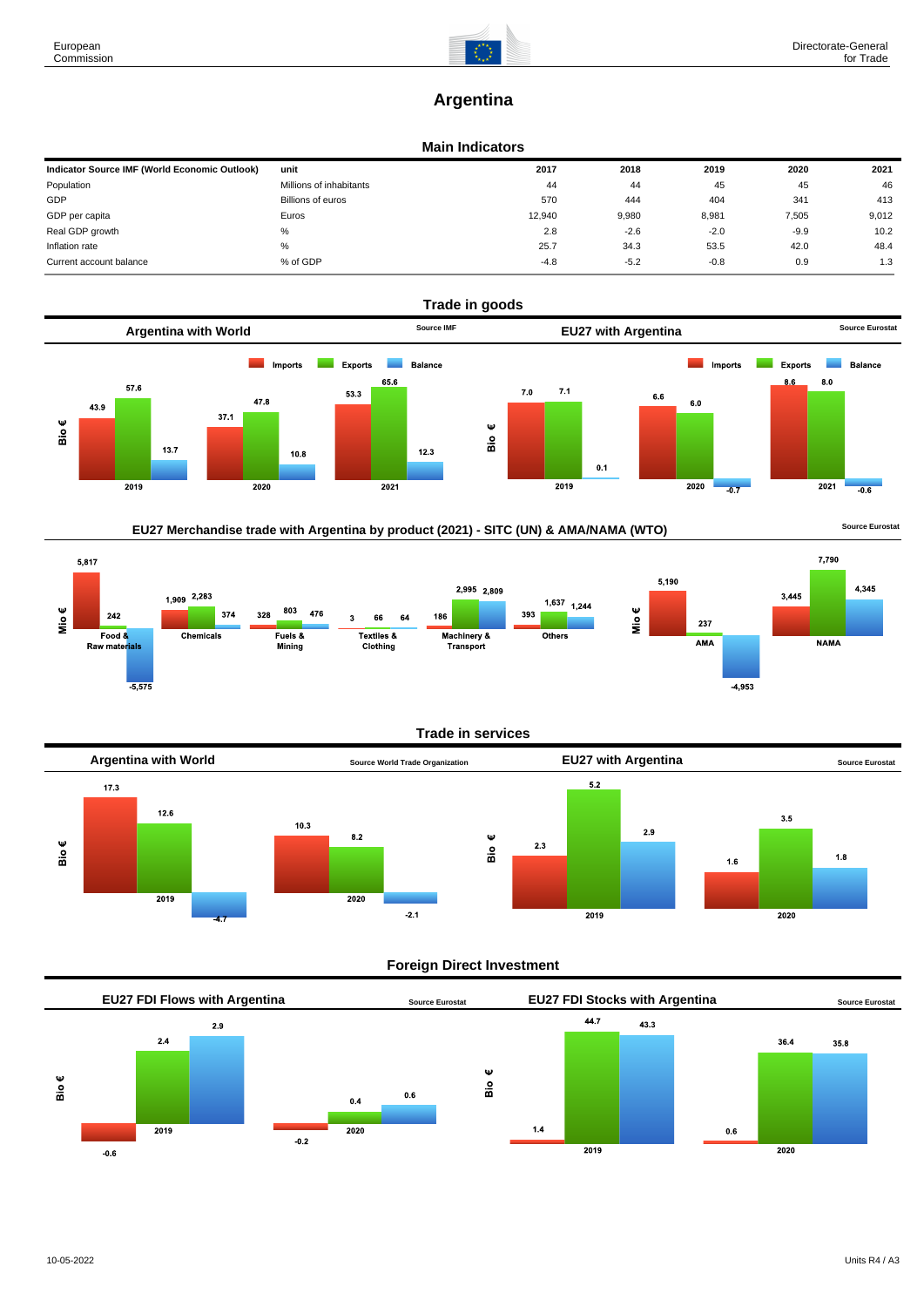7,790

**NAMA** 

 $3,445$ 

4,345

# **Argentina**

#### **Main Indicators**

| Indicator Source IMF (World Economic Outlook) | unit                    | 2017   | 2018   | 2019   | 2020   | 2021  |
|-----------------------------------------------|-------------------------|--------|--------|--------|--------|-------|
| Population                                    | Millions of inhabitants | 44     | 44     | 45     | 45     | 46    |
| GDP                                           | Billions of euros       | 570    | 444    | 404    | 341    | 413   |
| GDP per capita                                | Euros                   | 12.940 | 9,980  | 8,981  | 7,505  | 9,012 |
| Real GDP growth                               | %                       | 2.8    | $-2.6$ | $-2.0$ | $-9.9$ | 10.2  |
| Inflation rate                                | %                       | 25.7   | 34.3   | 53.5   | 42.0   | 48.4  |
| Current account balance                       | % of GDP                | $-4.8$ | $-5.2$ | $-0.8$ | 0.9    | 1.3   |



## EU27 Merchandise trade with Argentina by product (2021) - SITC (UN) & AMA/NAMA (WTO) **SOULD A SOUTCE EUROS** Source Eurostat

5,817 5,190  $2,995$  2,809 1,909 2,283  $1,637$ <sub>1,244</sub> Mio $\epsilon$ 803 Mio€ 374 476 393 328 242 3 66 64 186 237 Textiles &<br>Clothing Food & Chemicals Fuels & Machinery & Others  $\overline{\Delta MA}$ Raw materials Minina Transport  $-4,953$ 

### **Trade in services**



### **Foreign Direct Investment**